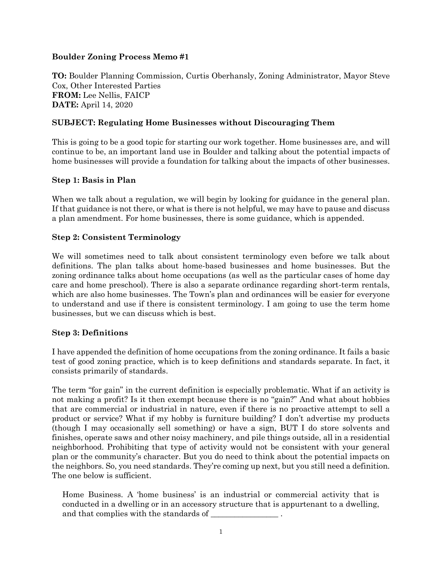#### **Boulder Zoning Process Memo #1**

**TO:** Boulder Planning Commission, Curtis Oberhansly, Zoning Administrator, Mayor Steve Cox, Other Interested Parties **FROM:** Lee Nellis, FAICP **DATE:** April 14, 2020

## **SUBJECT: Regulating Home Businesses without Discouraging Them**

This is going to be a good topic for starting our work together. Home businesses are, and will continue to be, an important land use in Boulder and talking about the potential impacts of home businesses will provide a foundation for talking about the impacts of other businesses.

#### **Step 1: Basis in Plan**

When we talk about a regulation, we will begin by looking for guidance in the general plan. If that guidance is not there, or what is there is not helpful, we may have to pause and discuss a plan amendment. For home businesses, there is some guidance, which is appended.

#### **Step 2: Consistent Terminology**

We will sometimes need to talk about consistent terminology even before we talk about definitions. The plan talks about home-based businesses and home businesses. But the zoning ordinance talks about home occupations (as well as the particular cases of home day care and home preschool). There is also a separate ordinance regarding short-term rentals, which are also home businesses. The Town's plan and ordinances will be easier for everyone to understand and use if there is consistent terminology. I am going to use the term home businesses, but we can discuss which is best.

#### **Step 3: Definitions**

I have appended the definition of home occupations from the zoning ordinance. It fails a basic test of good zoning practice, which is to keep definitions and standards separate. In fact, it consists primarily of standards.

The term "for gain" in the current definition is especially problematic. What if an activity is not making a profit? Is it then exempt because there is no "gain?" And what about hobbies that are commercial or industrial in nature, even if there is no proactive attempt to sell a product or service? What if my hobby is furniture building? I don't advertise my products (though I may occasionally sell something) or have a sign, BUT I do store solvents and finishes, operate saws and other noisy machinery, and pile things outside, all in a residential neighborhood. Prohibiting that type of activity would not be consistent with your general plan or the community's character. But you do need to think about the potential impacts on the neighbors. So, you need standards. They're coming up next, but you still need a definition. The one below is sufficient.

Home Business. A 'home business' is an industrial or commercial activity that is conducted in a dwelling or in an accessory structure that is appurtenant to a dwelling, and that complies with the standards of  $\overline{\phantom{a}}$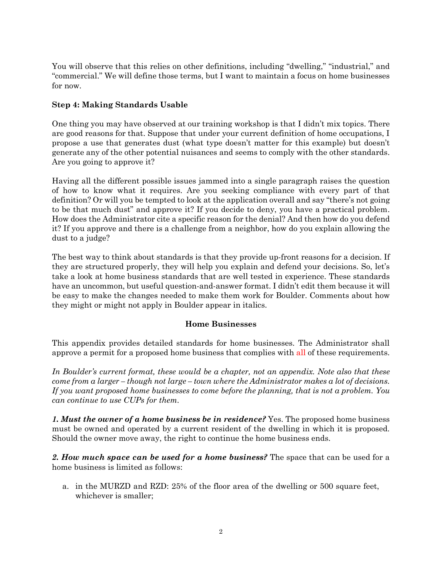You will observe that this relies on other definitions, including "dwelling," "industrial," and "commercial." We will define those terms, but I want to maintain a focus on home businesses for now.

### **Step 4: Making Standards Usable**

One thing you may have observed at our training workshop is that I didn't mix topics. There are good reasons for that. Suppose that under your current definition of home occupations, I propose a use that generates dust (what type doesn't matter for this example) but doesn't generate any of the other potential nuisances and seems to comply with the other standards. Are you going to approve it?

Having all the different possible issues jammed into a single paragraph raises the question of how to know what it requires. Are you seeking compliance with every part of that definition? Or will you be tempted to look at the application overall and say "there's not going to be that much dust" and approve it? If you decide to deny, you have a practical problem. How does the Administrator cite a specific reason for the denial? And then how do you defend it? If you approve and there is a challenge from a neighbor, how do you explain allowing the dust to a judge?

The best way to think about standards is that they provide up-front reasons for a decision. If they are structured properly, they will help you explain and defend your decisions. So, let's take a look at home business standards that are well tested in experience. These standards have an uncommon, but useful question-and-answer format. I didn't edit them because it will be easy to make the changes needed to make them work for Boulder. Comments about how they might or might not apply in Boulder appear in italics.

#### **Home Businesses**

This appendix provides detailed standards for home businesses. The Administrator shall approve a permit for a proposed home business that complies with all of these requirements.

*In Boulder's current format, these would be a chapter, not an appendix. Note also that these come from a larger – though not large – town where the Administrator makes a lot of decisions. If you want proposed home businesses to come before the planning, that is not a problem. You can continue to use CUPs for them.*

*1. Must the owner of a home business be in residence?* Yes. The proposed home business must be owned and operated by a current resident of the dwelling in which it is proposed. Should the owner move away, the right to continue the home business ends.

*2. How much space can be used for a home business?* The space that can be used for a home business is limited as follows:

a. in the MURZD and RZD: 25% of the floor area of the dwelling or 500 square feet, whichever is smaller;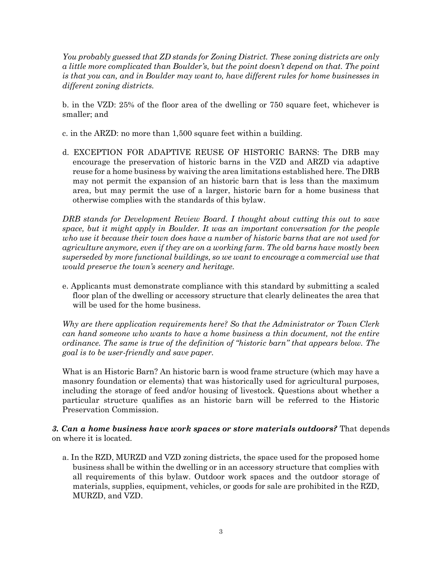*You probably guessed that ZD stands for Zoning District. These zoning districts are only a little more complicated than Boulder's, but the point doesn't depend on that. The point is that you can, and in Boulder may want to, have different rules for home businesses in different zoning districts.*

b. in the VZD: 25% of the floor area of the dwelling or 750 square feet, whichever is smaller; and

c. in the ARZD: no more than 1,500 square feet within a building.

d. EXCEPTION FOR ADAPTIVE REUSE OF HISTORIC BARNS: The DRB may encourage the preservation of historic barns in the VZD and ARZD via adaptive reuse for a home business by waiving the area limitations established here. The DRB may not permit the expansion of an historic barn that is less than the maximum area, but may permit the use of a larger, historic barn for a home business that otherwise complies with the standards of this bylaw.

*DRB stands for Development Review Board. I thought about cutting this out to save space, but it might apply in Boulder. It was an important conversation for the people who use it because their town does have a number of historic barns that are not used for agriculture anymore, even if they are on a working farm. The old barns have mostly been superseded by more functional buildings, so we want to encourage a commercial use that would preserve the town's scenery and heritage.*

e. Applicants must demonstrate compliance with this standard by submitting a scaled floor plan of the dwelling or accessory structure that clearly delineates the area that will be used for the home business.

*Why are there application requirements here? So that the Administrator or Town Clerk can hand someone who wants to have a home business a thin document, not the entire ordinance. The same is true of the definition of "historic barn" that appears below. The goal is to be user-friendly and save paper.* 

What is an Historic Barn? An historic barn is wood frame structure (which may have a masonry foundation or elements) that was historically used for agricultural purposes, including the storage of feed and/or housing of livestock. Questions about whether a particular structure qualifies as an historic barn will be referred to the Historic Preservation Commission.

*3. Can a home business have work spaces or store materials outdoors?* That depends on where it is located.

a. In the RZD, MURZD and VZD zoning districts, the space used for the proposed home business shall be within the dwelling or in an accessory structure that complies with all requirements of this bylaw. Outdoor work spaces and the outdoor storage of materials, supplies, equipment, vehicles, or goods for sale are prohibited in the RZD, MURZD, and VZD.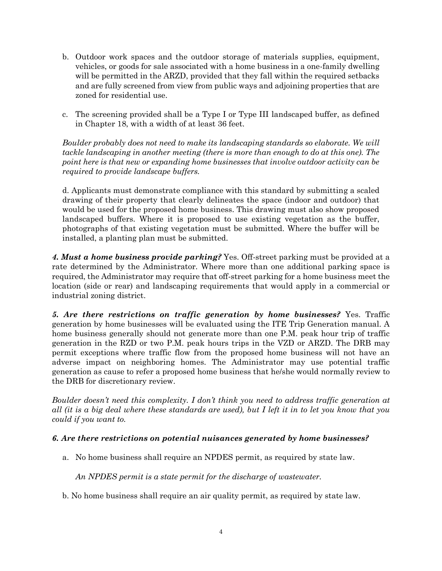- b. Outdoor work spaces and the outdoor storage of materials supplies, equipment, vehicles, or goods for sale associated with a home business in a one-family dwelling will be permitted in the ARZD, provided that they fall within the required setbacks and are fully screened from view from public ways and adjoining properties that are zoned for residential use.
- c. The screening provided shall be a Type I or Type III landscaped buffer, as defined in Chapter 18, with a width of at least 36 feet.

*Boulder probably does not need to make its landscaping standards so elaborate. We will tackle landscaping in another meeting (there is more than enough to do at this one). The point here is that new or expanding home businesses that involve outdoor activity can be required to provide landscape buffers.* 

d. Applicants must demonstrate compliance with this standard by submitting a scaled drawing of their property that clearly delineates the space (indoor and outdoor) that would be used for the proposed home business. This drawing must also show proposed landscaped buffers. Where it is proposed to use existing vegetation as the buffer, photographs of that existing vegetation must be submitted. Where the buffer will be installed, a planting plan must be submitted.

*4. Must a home business provide parking?* Yes. Off-street parking must be provided at a rate determined by the Administrator. Where more than one additional parking space is required, the Administrator may require that off-street parking for a home business meet the location (side or rear) and landscaping requirements that would apply in a commercial or industrial zoning district.

*5. Are there restrictions on traffic generation by home businesses?* Yes. Traffic generation by home businesses will be evaluated using the ITE Trip Generation manual. A home business generally should not generate more than one P.M. peak hour trip of traffic generation in the RZD or two P.M. peak hours trips in the VZD or ARZD. The DRB may permit exceptions where traffic flow from the proposed home business will not have an adverse impact on neighboring homes. The Administrator may use potential traffic generation as cause to refer a proposed home business that he/she would normally review to the DRB for discretionary review.

*Boulder doesn't need this complexity. I don't think you need to address traffic generation at all (it is a big deal where these standards are used), but I left it in to let you know that you could if you want to.*

#### *6. Are there restrictions on potential nuisances generated by home businesses?*

a. No home business shall require an NPDES permit, as required by state law.

*An NPDES permit is a state permit for the discharge of wastewater.*

b. No home business shall require an air quality permit, as required by state law.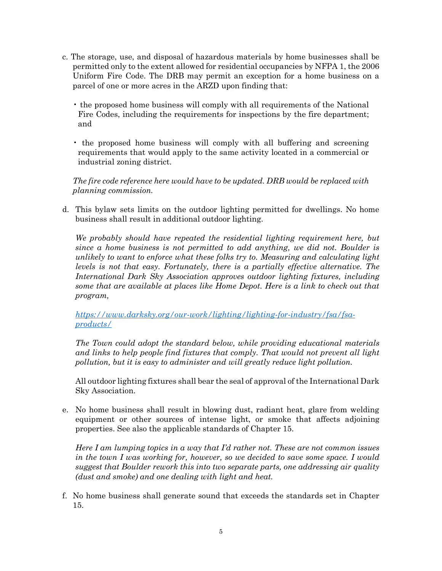- c. The storage, use, and disposal of hazardous materials by home businesses shall be permitted only to the extent allowed for residential occupancies by NFPA 1, the 2006 Uniform Fire Code. The DRB may permit an exception for a home business on a parcel of one or more acres in the ARZD upon finding that:
	- the proposed home business will comply with all requirements of the National Fire Codes, including the requirements for inspections by the fire department; and
	- the proposed home business will comply with all buffering and screening requirements that would apply to the same activity located in a commercial or industrial zoning district.

*The fire code reference here would have to be updated. DRB would be replaced with planning commission.*

d. This bylaw sets limits on the outdoor lighting permitted for dwellings. No home business shall result in additional outdoor lighting.

*We probably should have repeated the residential lighting requirement here, but since a home business is not permitted to add anything, we did not. Boulder is unlikely to want to enforce what these folks try to. Measuring and calculating light levels is not that easy. Fortunately, there is a partially effective alternative. The International Dark Sky Association approves outdoor lighting fixtures, including some that are available at places like Home Depot. Here is a link to check out that program,*

*[https://www.darksky.org/our-work/lighting/lighting-for-industry/fsa/fsa](https://www.darksky.org/our-work/lighting/lighting-for-industry/fsa/fsa-products/)[products/](https://www.darksky.org/our-work/lighting/lighting-for-industry/fsa/fsa-products/)*

*The Town could adopt the standard below, while providing educational materials and links to help people find fixtures that comply. That would not prevent all light pollution, but it is easy to administer and will greatly reduce light pollution.*

All outdoor lighting fixtures shall bear the seal of approval of the International Dark Sky Association.

e. No home business shall result in blowing dust, radiant heat, glare from welding equipment or other sources of intense light, or smoke that affects adjoining properties. See also the applicable standards of Chapter 15.

*Here I am lumping topics in a way that I'd rather not. These are not common issues in the town I was working for, however, so we decided to save some space. I would suggest that Boulder rework this into two separate parts, one addressing air quality (dust and smoke) and one dealing with light and heat.* 

f. No home business shall generate sound that exceeds the standards set in Chapter 15.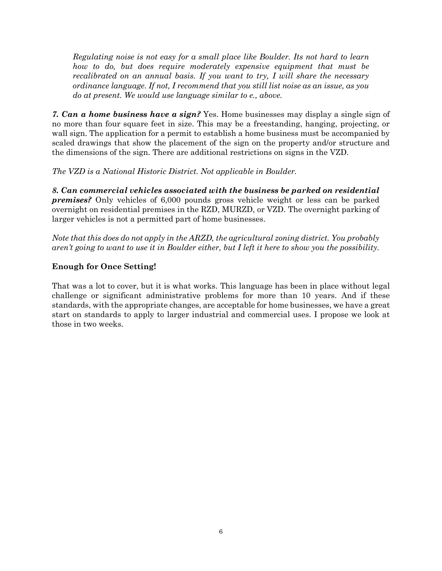*Regulating noise is not easy for a small place like Boulder. Its not hard to learn how to do, but does require moderately expensive equipment that must be recalibrated on an annual basis. If you want to try, I will share the necessary ordinance language. If not, I recommend that you still list noise as an issue, as you do at present. We would use language similar to e., above.*

*7. Can a home business have a sign?* Yes. Home businesses may display a single sign of no more than four square feet in size. This may be a freestanding, hanging, projecting, or wall sign. The application for a permit to establish a home business must be accompanied by scaled drawings that show the placement of the sign on the property and/or structure and the dimensions of the sign. There are additional restrictions on signs in the VZD.

*The VZD is a National Historic District. Not applicable in Boulder.*

*8. Can commercial vehicles associated with the business be parked on residential premises?* Only vehicles of 6,000 pounds gross vehicle weight or less can be parked overnight on residential premises in the RZD, MURZD, or VZD. The overnight parking of larger vehicles is not a permitted part of home businesses.

*Note that this does do not apply in the ARZD, the agricultural zoning district. You probably aren't going to want to use it in Boulder either, but I left it here to show you the possibility.*

#### **Enough for Once Setting!**

That was a lot to cover, but it is what works. This language has been in place without legal challenge or significant administrative problems for more than 10 years. And if these standards, with the appropriate changes, are acceptable for home businesses, we have a great start on standards to apply to larger industrial and commercial uses. I propose we look at those in two weeks.